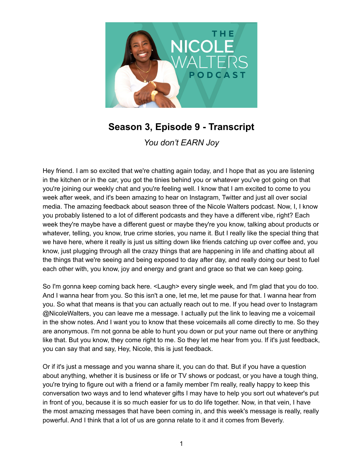

## **Season 3, Episode 9 - Transcript**

*You don't EARN Joy*

Hey friend. I am so excited that we're chatting again today, and I hope that as you are listening in the kitchen or in the car, you got the tinies behind you or whatever you've got going on that you're joining our weekly chat and you're feeling well. I know that I am excited to come to you week after week, and it's been amazing to hear on Instagram, Twitter and just all over social media. The amazing feedback about season three of the Nicole Walters podcast. Now, I, I know you probably listened to a lot of different podcasts and they have a different vibe, right? Each week they're maybe have a different guest or maybe they're you know, talking about products or whatever, telling, you know, true crime stories, you name it. But I really like the special thing that we have here, where it really is just us sitting down like friends catching up over coffee and, you know, just plugging through all the crazy things that are happening in life and chatting about all the things that we're seeing and being exposed to day after day, and really doing our best to fuel each other with, you know, joy and energy and grant and grace so that we can keep going.

So I'm gonna keep coming back here. <Laugh> every single week, and I'm glad that you do too. And I wanna hear from you. So this isn't a one, let me, let me pause for that. I wanna hear from you. So what that means is that you can actually reach out to me. If you head over to Instagram @NicoleWalters, you can leave me a message. I actually put the link to leaving me a voicemail in the show notes. And I want you to know that these voicemails all come directly to me. So they are anonymous. I'm not gonna be able to hunt you down or put your name out there or anything like that. But you know, they come right to me. So they let me hear from you. If it's just feedback, you can say that and say, Hey, Nicole, this is just feedback.

Or if it's just a message and you wanna share it, you can do that. But if you have a question about anything, whether it is business or life or TV shows or podcast, or you have a tough thing, you're trying to figure out with a friend or a family member I'm really, really happy to keep this conversation two ways and to lend whatever gifts I may have to help you sort out whatever's put in front of you, because it is so much easier for us to do life together. Now, in that vein, I have the most amazing messages that have been coming in, and this week's message is really, really powerful. And I think that a lot of us are gonna relate to it and it comes from Beverly.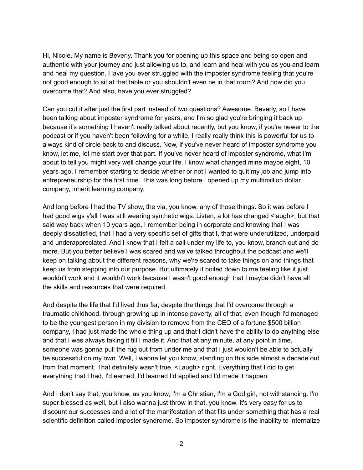Hi, Nicole. My name is Beverly. Thank you for opening up this space and being so open and authentic with your journey and just allowing us to, and learn and heal with you as you and learn and heal my question. Have you ever struggled with the imposter syndrome feeling that you're not good enough to sit at that table or you shouldn't even be in that room? And how did you overcome that? And also, have you ever struggled?

Can you cut it after just the first part instead of two questions? Awesome. Beverly, so I have been talking about imposter syndrome for years, and I'm so glad you're bringing it back up because it's something I haven't really talked about recently, but you know, if you're newer to the podcast or if you haven't been following for a while, I really really think this is powerful for us to always kind of circle back to and discuss. Now, if you've never heard of imposter syndrome you know, let me, let me start over that part. If you've never heard of imposter syndrome, what I'm about to tell you might very well change your life. I know what changed mine maybe eight, 10 years ago. I remember starting to decide whether or not I wanted to quit my job and jump into entrepreneurship for the first time. This was long before I opened up my multimillion dollar company, inherit learning company.

And long before I had the TV show, the via, you know, any of those things. So it was before I had good wigs y'all I was still wearing synthetic wigs. Listen, a lot has changed <laugh>, but that said way back when 10 years ago, I remember being in corporate and knowing that I was deeply dissatisfied, that I had a very specific set of gifts that I, that were underutilized, underpaid and underappreciated. And I knew that I felt a call under my life to, you know, branch out and do more. But you better believe I was scared and we've talked throughout the podcast and we'll keep on talking about the different reasons, why we're scared to take things on and things that keep us from stepping into our purpose. But ultimately it boiled down to me feeling like it just wouldn't work and it wouldn't work because I wasn't good enough that I maybe didn't have all the skills and resources that were required.

And despite the life that I'd lived thus far, despite the things that I'd overcome through a traumatic childhood, through growing up in intense poverty, all of that, even though I'd managed to be the youngest person in my division to remove from the CEO of a fortune \$500 billion company, I had just made the whole thing up and that I didn't have the ability to do anything else and that I was always faking it till I made it. And that at any minute, at any point in time, someone was gonna pull the rug out from under me and that I just wouldn't be able to actually be successful on my own. Well, I wanna let you know, standing on this side almost a decade out from that moment. That definitely wasn't true. <Laugh> right. Everything that I did to get everything that I had, I'd earned, I'd learned I'd applied and I'd made it happen.

And I don't say that, you know, as you know, I'm a Christian, I'm a God girl, not withstanding. I'm super blessed as well, but I also wanna just throw in that, you know, it's very easy for us to discount our successes and a lot of the manifestation of that fits under something that has a real scientific definition called imposter syndrome. So imposter syndrome is the inability to internalize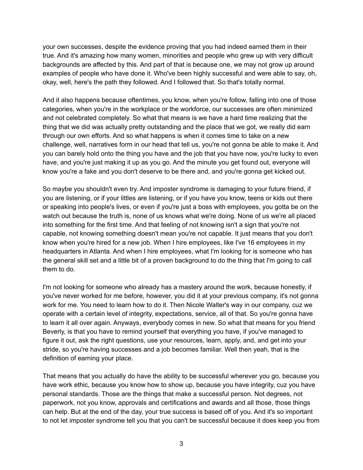your own successes, despite the evidence proving that you had indeed earned them in their true. And it's amazing how many women, minorities and people who grew up with very difficult backgrounds are affected by this. And part of that is because one, we may not grow up around examples of people who have done it. Who've been highly successful and were able to say, oh, okay, well, here's the path they followed. And I followed that. So that's totally normal.

And it also happens because oftentimes, you know, when you're follow, falling into one of those categories, when you're in the workplace or the workforce, our successes are often minimized and not celebrated completely. So what that means is we have a hard time realizing that the thing that we did was actually pretty outstanding and the place that we got, we really did earn through our own efforts. And so what happens is when it comes time to take on a new challenge, well, narratives form in our head that tell us, you're not gonna be able to make it. And you can barely hold onto the thing you have and the job that you have now, you're lucky to even have, and you're just making it up as you go. And the minute you get found out, everyone will know you're a fake and you don't deserve to be there and, and you're gonna get kicked out.

So maybe you shouldn't even try. And imposter syndrome is damaging to your future friend, if you are listening, or if your littles are listening, or if you have you know, teens or kids out there or speaking into people's lives, or even if you're just a boss with employees, you gotta be on the watch out because the truth is, none of us knows what we're doing. None of us we're all placed into something for the first time. And that feeling of not knowing isn't a sign that you're not capable, not knowing something doesn't mean you're not capable. It just means that you don't know when you're hired for a new job. When I hire employees, like I've 16 employees in my headquarters in Atlanta. And when I hire employees, what I'm looking for is someone who has the general skill set and a little bit of a proven background to do the thing that I'm going to call them to do.

I'm not looking for someone who already has a mastery around the work, because honestly, if you've never worked for me before, however, you did it at your previous company, it's not gonna work for me. You need to learn how to do it. Then Nicole Walter's way in our company, cuz we operate with a certain level of integrity, expectations, service, all of that. So you're gonna have to learn it all over again. Anyways, everybody comes in new. So what that means for you friend Beverly, is that you have to remind yourself that everything you have, if you've managed to figure it out, ask the right questions, use your resources, learn, apply, and, and get into your stride, so you're having successes and a job becomes familiar. Well then yeah, that is the definition of earning your place.

That means that you actually do have the ability to be successful wherever you go, because you have work ethic, because you know how to show up, because you have integrity, cuz you have personal standards. Those are the things that make a successful person. Not degrees, not paperwork, not you know, approvals and certifications and awards and all those, those things can help. But at the end of the day, your true success is based off of you. And it's so important to not let imposter syndrome tell you that you can't be successful because it does keep you from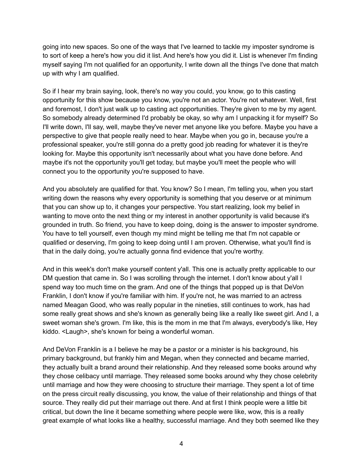going into new spaces. So one of the ways that I've learned to tackle my imposter syndrome is to sort of keep a here's how you did it list. And here's how you did it. List is whenever I'm finding myself saying I'm not qualified for an opportunity, I write down all the things I've done that match up with why I am qualified.

So if I hear my brain saying, look, there's no way you could, you know, go to this casting opportunity for this show because you know, you're not an actor. You're not whatever. Well, first and foremost, I don't just walk up to casting act opportunities. They're given to me by my agent. So somebody already determined I'd probably be okay, so why am I unpacking it for myself? So I'll write down, I'll say, well, maybe they've never met anyone like you before. Maybe you have a perspective to give that people really need to hear. Maybe when you go in, because you're a professional speaker, you're still gonna do a pretty good job reading for whatever it is they're looking for. Maybe this opportunity isn't necessarily about what you have done before. And maybe it's not the opportunity you'll get today, but maybe you'll meet the people who will connect you to the opportunity you're supposed to have.

And you absolutely are qualified for that. You know? So I mean, I'm telling you, when you start writing down the reasons why every opportunity is something that you deserve or at minimum that you can show up to, it changes your perspective. You start realizing, look my belief in wanting to move onto the next thing or my interest in another opportunity is valid because it's grounded in truth. So friend, you have to keep doing, doing is the answer to imposter syndrome. You have to tell yourself, even though my mind might be telling me that I'm not capable or qualified or deserving, I'm going to keep doing until I am proven. Otherwise, what you'll find is that in the daily doing, you're actually gonna find evidence that you're worthy.

And in this week's don't make yourself content y'all. This one is actually pretty applicable to our DM question that came in. So I was scrolling through the internet. I don't know about y'all I spend way too much time on the gram. And one of the things that popped up is that DeVon Franklin, I don't know if you're familiar with him. If you're not, he was married to an actress named Meagan Good, who was really popular in the nineties, still continues to work, has had some really great shows and she's known as generally being like a really like sweet girl. And I, a sweet woman she's grown. I'm like, this is the mom in me that I'm always, everybody's like, Hey kiddo. <Laugh>, she's known for being a wonderful woman.

And DeVon Franklin is a I believe he may be a pastor or a minister is his background, his primary background, but frankly him and Megan, when they connected and became married, they actually built a brand around their relationship. And they released some books around why they chose celibacy until marriage. They released some books around why they chose celebrity until marriage and how they were choosing to structure their marriage. They spent a lot of time on the press circuit really discussing, you know, the value of their relationship and things of that source. They really did put their marriage out there. And at first I think people were a little bit critical, but down the line it became something where people were like, wow, this is a really great example of what looks like a healthy, successful marriage. And they both seemed like they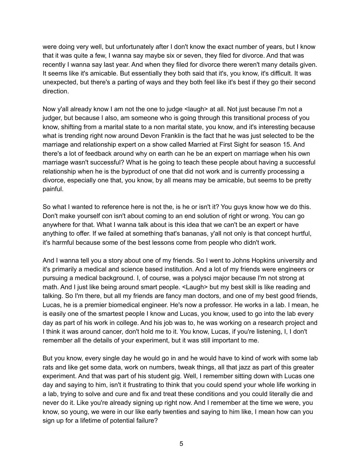were doing very well, but unfortunately after I don't know the exact number of years, but I know that it was quite a few, I wanna say maybe six or seven, they filed for divorce. And that was recently I wanna say last year. And when they filed for divorce there weren't many details given. It seems like it's amicable. But essentially they both said that it's, you know, it's difficult. It was unexpected, but there's a parting of ways and they both feel like it's best if they go their second direction.

Now y'all already know I am not the one to judge <laugh> at all. Not just because I'm not a judger, but because I also, am someone who is going through this transitional process of you know, shifting from a marital state to a non marital state, you know, and it's interesting because what is trending right now around Devon Franklin is the fact that he was just selected to be the marriage and relationship expert on a show called Married at First Sight for season 15. And there's a lot of feedback around why on earth can he be an expert on marriage when his own marriage wasn't successful? What is he going to teach these people about having a successful relationship when he is the byproduct of one that did not work and is currently processing a divorce, especially one that, you know, by all means may be amicable, but seems to be pretty painful.

So what I wanted to reference here is not the, is he or isn't it? You guys know how we do this. Don't make yourself con isn't about coming to an end solution of right or wrong. You can go anywhere for that. What I wanna talk about is this idea that we can't be an expert or have anything to offer. If we failed at something that's bananas, y'all not only is that concept hurtful, it's harmful because some of the best lessons come from people who didn't work.

And I wanna tell you a story about one of my friends. So I went to Johns Hopkins university and it's primarily a medical and science based institution. And a lot of my friends were engineers or pursuing a medical background. I, of course, was a polysci major because I'm not strong at math. And I just like being around smart people. <Laugh> but my best skill is like reading and talking. So I'm there, but all my friends are fancy man doctors, and one of my best good friends, Lucas, he is a premier biomedical engineer. He's now a professor. He works in a lab. I mean, he is easily one of the smartest people I know and Lucas, you know, used to go into the lab every day as part of his work in college. And his job was to, he was working on a research project and I think it was around cancer, don't hold me to it. You know, Lucas, if you're listening, I, I don't remember all the details of your experiment, but it was still important to me.

But you know, every single day he would go in and he would have to kind of work with some lab rats and like get some data, work on numbers, tweak things, all that jazz as part of this greater experiment. And that was part of his student gig. Well, I remember sitting down with Lucas one day and saying to him, isn't it frustrating to think that you could spend your whole life working in a lab, trying to solve and cure and fix and treat these conditions and you could literally die and never do it. Like you're already signing up right now. And I remember at the time we were, you know, so young, we were in our like early twenties and saying to him like, I mean how can you sign up for a lifetime of potential failure?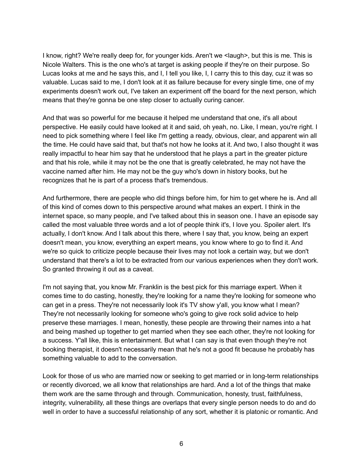I know, right? We're really deep for, for younger kids. Aren't we <laugh>, but this is me. This is Nicole Walters. This is the one who's at target is asking people if they're on their purpose. So Lucas looks at me and he says this, and I, I tell you like, I, I carry this to this day, cuz it was so valuable. Lucas said to me, I don't look at it as failure because for every single time, one of my experiments doesn't work out, I've taken an experiment off the board for the next person, which means that they're gonna be one step closer to actually curing cancer.

And that was so powerful for me because it helped me understand that one, it's all about perspective. He easily could have looked at it and said, oh yeah, no. Like, I mean, you're right. I need to pick something where I feel like I'm getting a ready, obvious, clear, and apparent win all the time. He could have said that, but that's not how he looks at it. And two, I also thought it was really impactful to hear him say that he understood that he plays a part in the greater picture and that his role, while it may not be the one that is greatly celebrated, he may not have the vaccine named after him. He may not be the guy who's down in history books, but he recognizes that he is part of a process that's tremendous.

And furthermore, there are people who did things before him, for him to get where he is. And all of this kind of comes down to this perspective around what makes an expert. I think in the internet space, so many people, and I've talked about this in season one. I have an episode say called the most valuable three words and a lot of people think it's, I love you. Spoiler alert. It's actually, I don't know. And I talk about this there, where I say that, you know, being an expert doesn't mean, you know, everything an expert means, you know where to go to find it. And we're so quick to criticize people because their lives may not look a certain way, but we don't understand that there's a lot to be extracted from our various experiences when they don't work. So granted throwing it out as a caveat.

I'm not saying that, you know Mr. Franklin is the best pick for this marriage expert. When it comes time to do casting, honestly, they're looking for a name they're looking for someone who can get in a press. They're not necessarily look it's TV show y'all, you know what I mean? They're not necessarily looking for someone who's going to give rock solid advice to help preserve these marriages. I mean, honestly, these people are throwing their names into a hat and being mashed up together to get married when they see each other, they're not looking for a success. Y'all like, this is entertainment. But what I can say is that even though they're not booking therapist, it doesn't necessarily mean that he's not a good fit because he probably has something valuable to add to the conversation.

Look for those of us who are married now or seeking to get married or in long-term relationships or recently divorced, we all know that relationships are hard. And a lot of the things that make them work are the same through and through. Communication, honesty, trust, faithfulness, integrity, vulnerability, all these things are overlaps that every single person needs to do and do well in order to have a successful relationship of any sort, whether it is platonic or romantic. And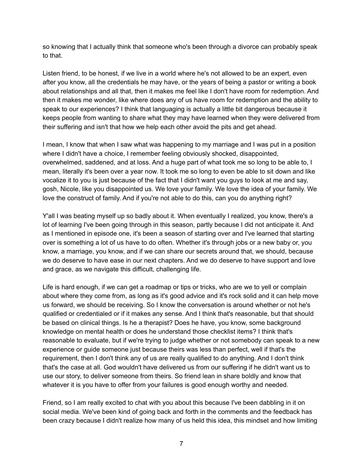so knowing that I actually think that someone who's been through a divorce can probably speak to that.

Listen friend, to be honest, if we live in a world where he's not allowed to be an expert, even after you know, all the credentials he may have, or the years of being a pastor or writing a book about relationships and all that, then it makes me feel like I don't have room for redemption. And then it makes me wonder, like where does any of us have room for redemption and the ability to speak to our experiences? I think that languaging is actually a little bit dangerous because it keeps people from wanting to share what they may have learned when they were delivered from their suffering and isn't that how we help each other avoid the pits and get ahead.

I mean, I know that when I saw what was happening to my marriage and I was put in a position where I didn't have a choice, I remember feeling obviously shocked, disappointed, overwhelmed, saddened, and at loss. And a huge part of what took me so long to be able to, I mean, literally it's been over a year now. It took me so long to even be able to sit down and like vocalize it to you is just because of the fact that I didn't want you guys to look at me and say, gosh, Nicole, like you disappointed us. We love your family. We love the idea of your family. We love the construct of family. And if you're not able to do this, can you do anything right?

Y'all I was beating myself up so badly about it. When eventually I realized, you know, there's a lot of learning I've been going through in this season, partly because I did not anticipate it. And as I mentioned in episode one, it's been a season of starting over and I've learned that starting over is something a lot of us have to do often. Whether it's through jobs or a new baby or, you know, a marriage, you know, and if we can share our secrets around that, we should, because we do deserve to have ease in our next chapters. And we do deserve to have support and love and grace, as we navigate this difficult, challenging life.

Life is hard enough, if we can get a roadmap or tips or tricks, who are we to yell or complain about where they come from, as long as it's good advice and it's rock solid and it can help move us forward, we should be receiving. So I know the conversation is around whether or not he's qualified or credentialed or if it makes any sense. And I think that's reasonable, but that should be based on clinical things. Is he a therapist? Does he have, you know, some background knowledge on mental health or does he understand those checklist items? I think that's reasonable to evaluate, but if we're trying to judge whether or not somebody can speak to a new experience or guide someone just because theirs was less than perfect, well if that's the requirement, then I don't think any of us are really qualified to do anything. And I don't think that's the case at all. God wouldn't have delivered us from our suffering if he didn't want us to use our story, to deliver someone from theirs. So friend lean in share boldly and know that whatever it is you have to offer from your failures is good enough worthy and needed.

Friend, so I am really excited to chat with you about this because I've been dabbling in it on social media. We've been kind of going back and forth in the comments and the feedback has been crazy because I didn't realize how many of us held this idea, this mindset and how limiting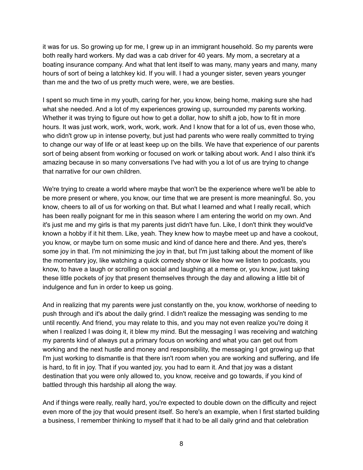it was for us. So growing up for me, I grew up in an immigrant household. So my parents were both really hard workers. My dad was a cab driver for 40 years. My mom, a secretary at a boating insurance company. And what that lent itself to was many, many years and many, many hours of sort of being a latchkey kid. If you will. I had a younger sister, seven years younger than me and the two of us pretty much were, were, we are besties.

I spent so much time in my youth, caring for her, you know, being home, making sure she had what she needed. And a lot of my experiences growing up, surrounded my parents working. Whether it was trying to figure out how to get a dollar, how to shift a job, how to fit in more hours. It was just work, work, work, work, work. And I know that for a lot of us, even those who, who didn't grow up in intense poverty, but just had parents who were really committed to trying to change our way of life or at least keep up on the bills. We have that experience of our parents sort of being absent from working or focused on work or talking about work. And I also think it's amazing because in so many conversations I've had with you a lot of us are trying to change that narrative for our own children.

We're trying to create a world where maybe that won't be the experience where we'll be able to be more present or where, you know, our time that we are present is more meaningful. So, you know, cheers to all of us for working on that. But what I learned and what I really recall, which has been really poignant for me in this season where I am entering the world on my own. And it's just me and my girls is that my parents just didn't have fun. Like, I don't think they would've known a hobby if it hit them. Like, yeah. They knew how to maybe meet up and have a cookout, you know, or maybe turn on some music and kind of dance here and there. And yes, there's some joy in that. I'm not minimizing the joy in that, but I'm just talking about the moment of like the momentary joy, like watching a quick comedy show or like how we listen to podcasts, you know, to have a laugh or scrolling on social and laughing at a meme or, you know, just taking these little pockets of joy that present themselves through the day and allowing a little bit of indulgence and fun in order to keep us going.

And in realizing that my parents were just constantly on the, you know, workhorse of needing to push through and it's about the daily grind. I didn't realize the messaging was sending to me until recently. And friend, you may relate to this, and you may not even realize you're doing it when I realized I was doing it, it blew my mind. But the messaging I was receiving and watching my parents kind of always put a primary focus on working and what you can get out from working and the next hustle and money and responsibility, the messaging I got growing up that I'm just working to dismantle is that there isn't room when you are working and suffering, and life is hard, to fit in joy. That if you wanted joy, you had to earn it. And that joy was a distant destination that you were only allowed to, you know, receive and go towards, if you kind of battled through this hardship all along the way.

And if things were really, really hard, you're expected to double down on the difficulty and reject even more of the joy that would present itself. So here's an example, when I first started building a business, I remember thinking to myself that it had to be all daily grind and that celebration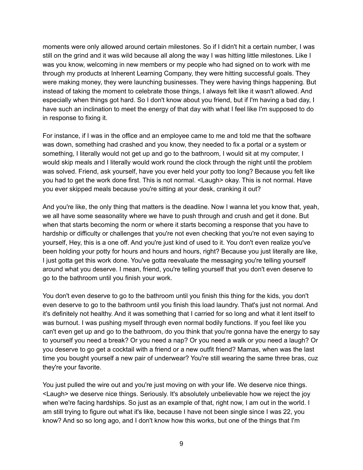moments were only allowed around certain milestones. So if I didn't hit a certain number, I was still on the grind and it was wild because all along the way I was hitting little milestones. Like I was you know, welcoming in new members or my people who had signed on to work with me through my products at Inherent Learning Company, they were hitting successful goals. They were making money, they were launching businesses. They were having things happening. But instead of taking the moment to celebrate those things, I always felt like it wasn't allowed. And especially when things got hard. So I don't know about you friend, but if I'm having a bad day, I have such an inclination to meet the energy of that day with what I feel like I'm supposed to do in response to fixing it.

For instance, if I was in the office and an employee came to me and told me that the software was down, something had crashed and you know, they needed to fix a portal or a system or something, I literally would not get up and go to the bathroom, I would sit at my computer, I would skip meals and I literally would work round the clock through the night until the problem was solved. Friend, ask yourself, have you ever held your potty too long? Because you felt like you had to get the work done first. This is not normal. <Laugh> okay. This is not normal. Have you ever skipped meals because you're sitting at your desk, cranking it out?

And you're like, the only thing that matters is the deadline. Now I wanna let you know that, yeah, we all have some seasonality where we have to push through and crush and get it done. But when that starts becoming the norm or where it starts becoming a response that you have to hardship or difficulty or challenges that you're not even checking that you're not even saying to yourself, Hey, this is a one off. And you're just kind of used to it. You don't even realize you've been holding your potty for hours and hours and hours, right? Because you just literally are like, I just gotta get this work done. You've gotta reevaluate the messaging you're telling yourself around what you deserve. I mean, friend, you're telling yourself that you don't even deserve to go to the bathroom until you finish your work.

You don't even deserve to go to the bathroom until you finish this thing for the kids, you don't even deserve to go to the bathroom until you finish this load laundry. That's just not normal. And it's definitely not healthy. And it was something that I carried for so long and what it lent itself to was burnout. I was pushing myself through even normal bodily functions. If you feel like you can't even get up and go to the bathroom, do you think that you're gonna have the energy to say to yourself you need a break? Or you need a nap? Or you need a walk or you need a laugh? Or you deserve to go get a cocktail with a friend or a new outfit friend? Mamas, when was the last time you bought yourself a new pair of underwear? You're still wearing the same three bras, cuz they're your favorite.

You just pulled the wire out and you're just moving on with your life. We deserve nice things. <Laugh> we deserve nice things. Seriously. It's absolutely unbelievable how we reject the joy when we're facing hardships. So just as an example of that, right now, I am out in the world. I am still trying to figure out what it's like, because I have not been single since I was 22, you know? And so so long ago, and I don't know how this works, but one of the things that I'm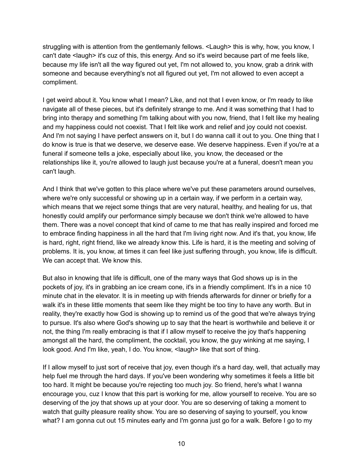struggling with is attention from the gentlemanly fellows. <Laugh> this is why, how, you know, I can't date <laugh> it's cuz of this, this energy. And so it's weird because part of me feels like, because my life isn't all the way figured out yet, I'm not allowed to, you know, grab a drink with someone and because everything's not all figured out yet, I'm not allowed to even accept a compliment.

I get weird about it. You know what I mean? Like, and not that I even know, or I'm ready to like navigate all of these pieces, but it's definitely strange to me. And it was something that I had to bring into therapy and something I'm talking about with you now, friend, that I felt like my healing and my happiness could not coexist. That I felt like work and relief and joy could not coexist. And I'm not saying I have perfect answers on it, but I do wanna call it out to you. One thing that I do know is true is that we deserve, we deserve ease. We deserve happiness. Even if you're at a funeral if someone tells a joke, especially about like, you know, the deceased or the relationships like it, you're allowed to laugh just because you're at a funeral, doesn't mean you can't laugh.

And I think that we've gotten to this place where we've put these parameters around ourselves, where we're only successful or showing up in a certain way, if we perform in a certain way, which means that we reject some things that are very natural, healthy, and healing for us, that honestly could amplify our performance simply because we don't think we're allowed to have them. There was a novel concept that kind of came to me that has really inspired and forced me to embrace finding happiness in all the hard that I'm living right now. And it's that, you know, life is hard, right, right friend, like we already know this. Life is hard, it is the meeting and solving of problems. It is, you know, at times it can feel like just suffering through, you know, life is difficult. We can accept that. We know this.

But also in knowing that life is difficult, one of the many ways that God shows up is in the pockets of joy, it's in grabbing an ice cream cone, it's in a friendly compliment. It's in a nice 10 minute chat in the elevator. It is in meeting up with friends afterwards for dinner or briefly for a walk it's in these little moments that seem like they might be too tiny to have any worth. But in reality, they're exactly how God is showing up to remind us of the good that we're always trying to pursue. It's also where God's showing up to say that the heart is worthwhile and believe it or not, the thing I'm really embracing is that if I allow myself to receive the joy that's happening amongst all the hard, the compliment, the cocktail, you know, the guy winking at me saying, I look good. And I'm like, yeah, I do. You know, <laugh> like that sort of thing.

If I allow myself to just sort of receive that joy, even though it's a hard day, well, that actually may help fuel me through the hard days. If you've been wondering why sometimes it feels a little bit too hard. It might be because you're rejecting too much joy. So friend, here's what I wanna encourage you, cuz I know that this part is working for me, allow yourself to receive. You are so deserving of the joy that shows up at your door. You are so deserving of taking a moment to watch that guilty pleasure reality show. You are so deserving of saying to yourself, you know what? I am gonna cut out 15 minutes early and I'm gonna just go for a walk. Before I go to my